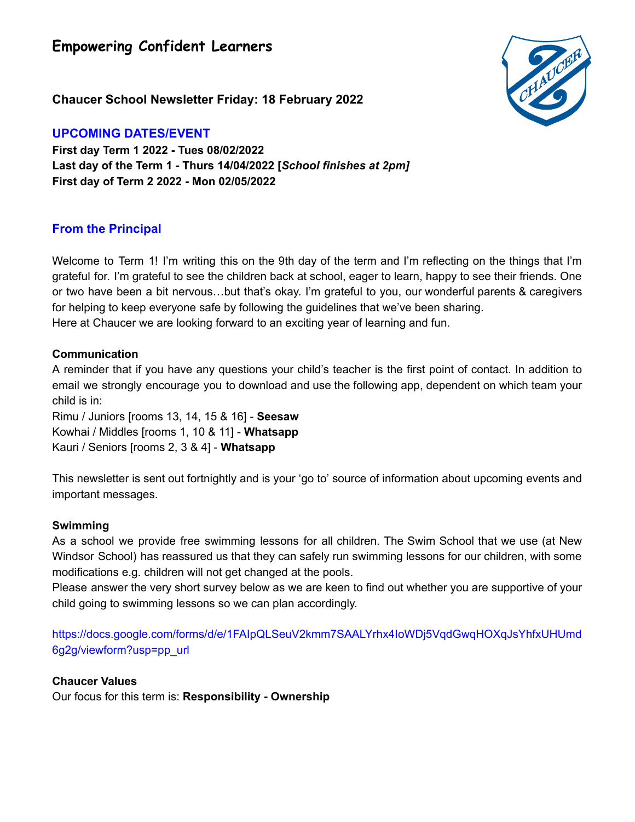**Empowering Confident Learners**



**Chaucer School Newsletter Friday: 18 February 2022**

## **UPCOMING DATES/EVENT**

**First day Term 1 2022 - Tues 08/02/2022 Last day of the Term 1 - Thurs 14/04/2022 [***School finishes at 2pm]* **First day of Term 2 2022 - Mon 02/05/2022**

# **From the Principal**

Welcome to Term 1! I'm writing this on the 9th day of the term and I'm reflecting on the things that I'm grateful for. I'm grateful to see the children back at school, eager to learn, happy to see their friends. One or two have been a bit nervous…but that's okay. I'm grateful to you, our wonderful parents & caregivers for helping to keep everyone safe by following the guidelines that we've been sharing. Here at Chaucer we are looking forward to an exciting year of learning and fun.

## **Communication**

A reminder that if you have any questions your child's teacher is the first point of contact. In addition to email we strongly encourage you to download and use the following app, dependent on which team your child is in:

Rimu / Juniors [rooms 13, 14, 15 & 16] - **Seesaw** Kowhai / Middles [rooms 1, 10 & 11] - **Whatsapp** Kauri / Seniors [rooms 2, 3 & 4] - **Whatsapp**

This newsletter is sent out fortnightly and is your 'go to' source of information about upcoming events and important messages.

## **Swimming**

As a school we provide free swimming lessons for all children. The Swim School that we use (at New Windsor School) has reassured us that they can safely run swimming lessons for our children, with some modifications e.g. children will not get changed at the pools.

Please answer the very short survey below as we are keen to find out whether you are supportive of your child going to swimming lessons so we can plan accordingly.

https://docs.google.com/forms/d/e/1FAIpQLSeuV2kmm7SAALYrhx4IoWDj5VqdGwqHOXqJsYhfxUHUmd 6g2g/viewform?usp=pp\_url

## **Chaucer Values**

Our focus for this term is: **Responsibility - Ownership**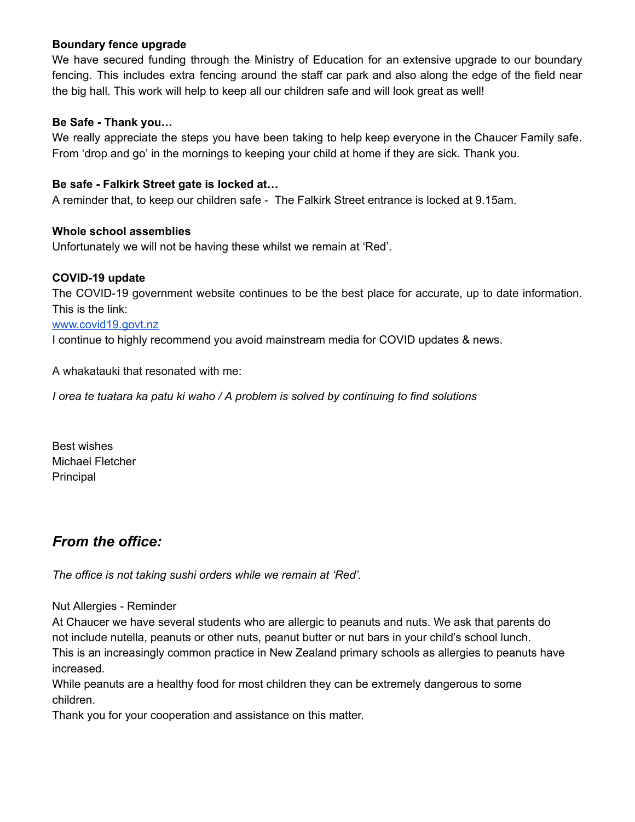#### **Boundary fence upgrade**

We have secured funding through the Ministry of Education for an extensive upgrade to our boundary fencing. This includes extra fencing around the staff car park and also along the edge of the field near the big hall. This work will help to keep all our children safe and will look great as well!

#### **Be Safe - Thank you…**

We really appreciate the steps you have been taking to help keep everyone in the Chaucer Family safe. From 'drop and go' in the mornings to keeping your child at home if they are sick. Thank you.

#### **Be safe - Falkirk Street gate is locked at…**

A reminder that, to keep our children safe - The Falkirk Street entrance is locked at 9.15am.

#### **Whole school assemblies**

Unfortunately we will not be having these whilst we remain at 'Red'.

#### **COVID-19 update**

The COVID-19 government website continues to be the best place for accurate, up to date information. This is the link:

#### www.covid19.govt.nz

I continue to highly recommend you avoid mainstream media for COVID updates & news.

A whakatauki that resonated with me:

*I orea te tuatara ka patu ki waho / A problem is solved by continuing to find solutions*

Best wishes Michael Fletcher Principal

# *From the office:*

*The office is not taking sushi orders while we remain at 'Red'.*

Nut Allergies - Reminder

At Chaucer we have several students who are allergic to peanuts and nuts. We ask that parents do not include nutella, peanuts or other nuts, peanut butter or nut bars in your child's school lunch. This is an increasingly common practice in New Zealand primary schools as allergies to peanuts have increased.

While peanuts are a healthy food for most children they can be extremely dangerous to some children.

Thank you for your cooperation and assistance on this matter.